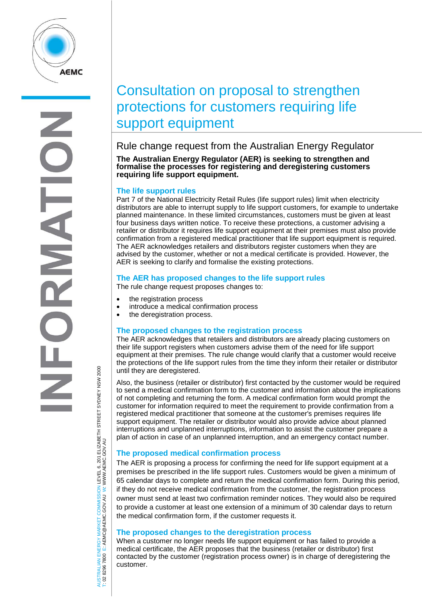

# Consultation on proposal to strengthen protections for customers requiring life support equipment

Rule change request from the Australian Energy Regulator

**The Australian Energy Regulator (AER) is seeking to strengthen and formalise the processes for registering and deregistering customers requiring life support equipment.**

# **The life support rules**

Part 7 of the National Electricity Retail Rules (life support rules) limit when electricity distributors are able to interrupt supply to life support customers, for example to undertake planned maintenance. In these limited circumstances, customers must be given at least four business days written notice. To receive these protections, a customer advising a retailer or distributor it requires life support equipment at their premises must also provide confirmation from a registered medical practitioner that life support equipment is required. The AER acknowledges retailers and distributors register customers when they are advised by the customer, whether or not a medical certificate is provided. However, the AER is seeking to clarify and formalise the existing protections.

# **The AER has proposed changes to the life support rules**

The rule change request proposes changes to:

- the registration process
- introduce a medical confirmation process
- the deregistration process.

# **The proposed changes to the registration process**

The AER acknowledges that retailers and distributors are already placing customers on their life support registers when customers advise them of the need for life support equipment at their premises. The rule change would clarify that a customer would receive the protections of the life support rules from the time they inform their retailer or distributor until they are deregistered.

Also, the business (retailer or distributor) first contacted by the customer would be required to send a medical confirmation form to the customer and information about the implications of not completing and returning the form. A medical confirmation form would prompt the customer for information required to meet the requirement to provide confirmation from a registered medical practitioner that someone at the customer's premises requires life support equipment. The retailer or distributor would also provide advice about planned interruptions and unplanned interruptions, information to assist the customer prepare a plan of action in case of an unplanned interruption, and an emergency contact number.

# **The proposed medical confirmation process**

The AER is proposing a process for confirming the need for life support equipment at a premises be prescribed in the life support rules. Customers would be given a minimum of 65 calendar days to complete and return the medical confirmation form. During this period, if they do not receive medical confirmation from the customer, the registration process owner must send at least two confirmation reminder notices. They would also be required to provide a customer at least one extension of a minimum of 30 calendar days to return the medical confirmation form, if the customer requests it.

## **The proposed changes to the deregistration process**

When a customer no longer needs life support equipment or has failed to provide a medical certificate, the AER proposes that the business (retailer or distributor) first contacted by the customer (registration process owner) is in charge of deregistering the customer.

AUSTRALIAN ENERGY MARKET COMMISSION LEVEL 6, 201 ELIZABETH STREET SYDNEY NSW 2000<br>Γ: 02 8296 7800 E: AEMC@AEMC.GOV.AU W: WWW.AEMC.GOV.AU AUSTRALIAN ENERGY MARKET COMMISSION LEVEL 6, 201 ELIZABETH STREET SYDNEY NSW 2000 W: WWW.AEMC.GOV.AU T: 02 8296 7800 E: AEMC@AEMC.GOV.AU